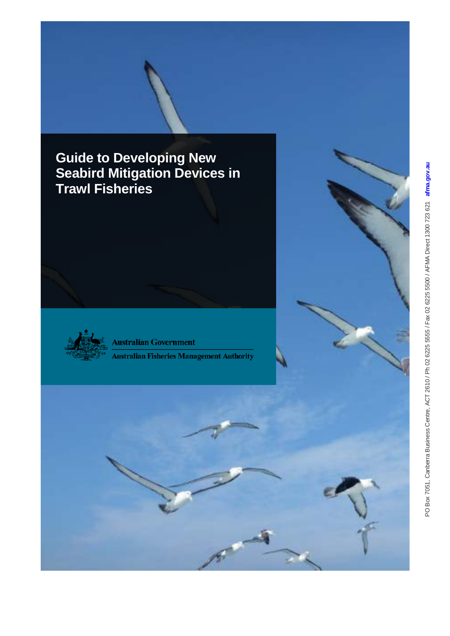**Guide to Developing New Seabird Mitigation Devices in Trawl Fisheries**



**Australian Government** 

**Australian Fisheries Management Authority**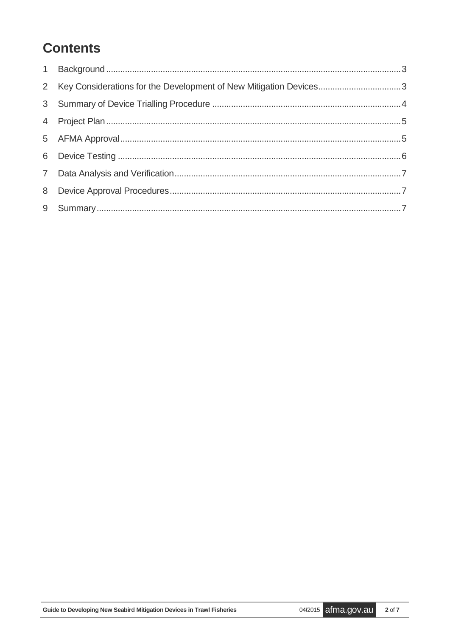# **Contents**

| 2 Key Considerations for the Development of New Mitigation Devices3 |  |
|---------------------------------------------------------------------|--|
|                                                                     |  |
|                                                                     |  |
|                                                                     |  |
|                                                                     |  |
|                                                                     |  |
|                                                                     |  |
|                                                                     |  |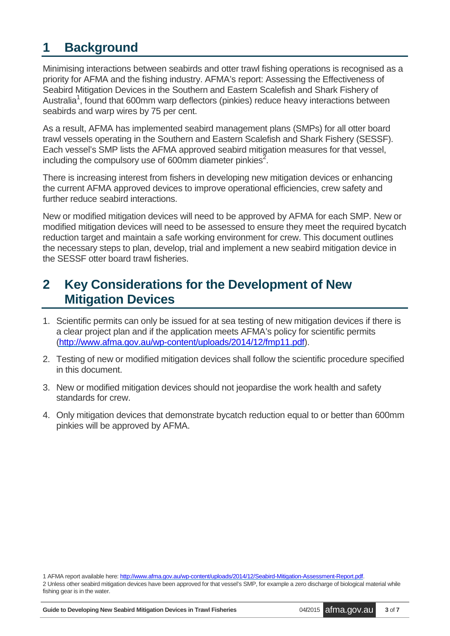### <span id="page-2-0"></span>**1 Background**

Minimising interactions between seabirds and otter trawl fishing operations is recognised as a priority for AFMA and the fishing industry. AFMA's report: Assessing the Effectiveness of Seabird Mitigation Devices in the Southern and Eastern Scalefish and Shark Fishery of Australia<sup>1</sup>, found that 600mm warp deflectors (pinkies) reduce heavy interactions between seabirds and warp wires by 75 per cent.

As a result, AFMA has implemented seabird management plans (SMPs) for all otter board trawl vessels operating in the Southern and Eastern Scalefish and Shark Fishery (SESSF). Each vessel's SMP lists the AFMA approved seabird mitigation measures for that vessel, including the compulsory use of 600mm diameter pinkies<sup>2</sup>.

There is increasing interest from fishers in developing new mitigation devices or enhancing the current AFMA approved devices to improve operational efficiencies, crew safety and further reduce seabird interactions.

New or modified mitigation devices will need to be approved by AFMA for each SMP. New or modified mitigation devices will need to be assessed to ensure they meet the required bycatch reduction target and maintain a safe working environment for crew. This document outlines the necessary steps to plan, develop, trial and implement a new seabird mitigation device in the SESSF otter board trawl fisheries.

### <span id="page-2-1"></span>**2 Key Considerations for the Development of New Mitigation Devices**

- 1. Scientific permits can only be issued for at sea testing of new mitigation devices if there is a clear project plan and if the application meets AFMA's policy for scientific permits [\(http://www.afma.gov.au/wp-content/uploads/2014/12/fmp11.pdf\)](http://www.afma.gov.au/wp-content/uploads/2014/12/fmp11.pdf).
- 2. Testing of new or modified mitigation devices shall follow the scientific procedure specified in this document.
- 3. New or modified mitigation devices should not jeopardise the work health and safety standards for crew.
- 4. Only mitigation devices that demonstrate bycatch reduction equal to or better than 600mm pinkies will be approved by AFMA.

1 AFMA report available here[: http://www.afma.gov.au/wp-content/uploads/2014/12/Seabird-Mitigation-Assessment-Report.pdf.](http://www.afma.gov.au/wp-content/uploads/2014/12/Seabird-Mitigation-Assessment-Report.pdf) 2 Unless other seabird mitigation devices have been approved for that vessel's SMP, for example a zero discharge of biological material while fishing gear is in the water.

**Guide to Developing New Seabird Mitigation Devices in Trawl Fisheries** 04**/**<sup>2015</sup> afma.gov.au **<sup>3</sup>** of **<sup>7</sup>**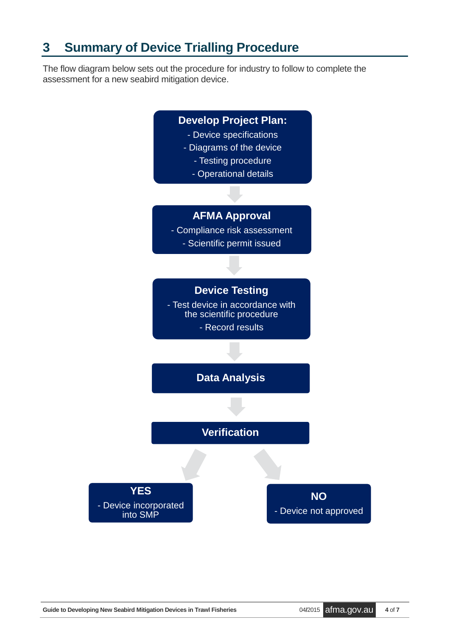### <span id="page-3-0"></span>**3 Summary of Device Trialling Procedure**

The flow diagram below sets out the procedure for industry to follow to complete the assessment for a new seabird mitigation device.

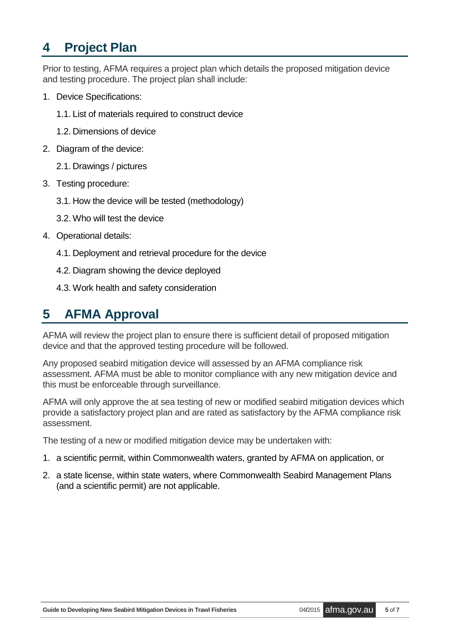### <span id="page-4-0"></span>**4 Project Plan**

Prior to testing, AFMA requires a project plan which details the proposed mitigation device and testing procedure. The project plan shall include:

- 1. Device Specifications:
	- 1.1. List of materials required to construct device
	- 1.2. Dimensions of device
- 2. Diagram of the device:
	- 2.1. Drawings / pictures
- 3. Testing procedure:
	- 3.1. How the device will be tested (methodology)
	- 3.2. Who will test the device
- 4. Operational details:
	- 4.1. Deployment and retrieval procedure for the device
	- 4.2. Diagram showing the device deployed
	- 4.3. Work health and safety consideration

## <span id="page-4-1"></span>**5 AFMA Approval**

AFMA will review the project plan to ensure there is sufficient detail of proposed mitigation device and that the approved testing procedure will be followed.

Any proposed seabird mitigation device will assessed by an AFMA compliance risk assessment. AFMA must be able to monitor compliance with any new mitigation device and this must be enforceable through surveillance.

AFMA will only approve the at sea testing of new or modified seabird mitigation devices which provide a satisfactory project plan and are rated as satisfactory by the AFMA compliance risk assessment.

The testing of a new or modified mitigation device may be undertaken with:

- 1. a scientific permit, within Commonwealth waters, granted by AFMA on application, or
- 2. a state license, within state waters, where Commonwealth Seabird Management Plans (and a scientific permit) are not applicable.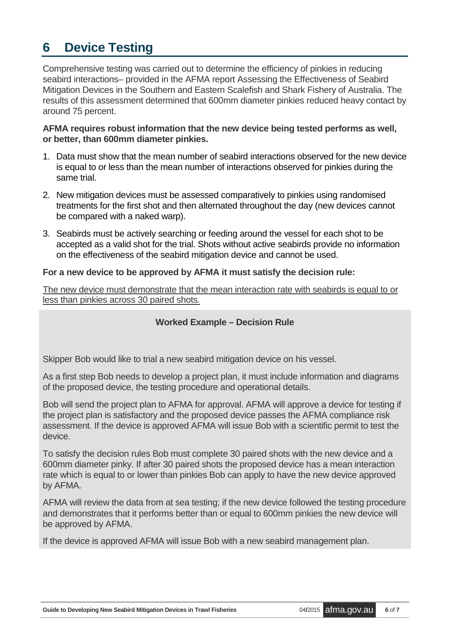### <span id="page-5-0"></span>**6 Device Testing**

Comprehensive testing was carried out to determine the efficiency of pinkies in reducing seabird interactions– provided in the AFMA report Assessing the Effectiveness of Seabird Mitigation Devices in the Southern and Eastern Scalefish and Shark Fishery of Australia. The results of this assessment determined that 600mm diameter pinkies reduced heavy contact by around 75 percent.

#### **AFMA requires robust information that the new device being tested performs as well, or better, than 600mm diameter pinkies.**

- 1. Data must show that the mean number of seabird interactions observed for the new device is equal to or less than the mean number of interactions observed for pinkies during the same trial.
- 2. New mitigation devices must be assessed comparatively to pinkies using randomised treatments for the first shot and then alternated throughout the day (new devices cannot be compared with a naked warp).
- 3. Seabirds must be actively searching or feeding around the vessel for each shot to be accepted as a valid shot for the trial. Shots without active seabirds provide no information on the effectiveness of the seabird mitigation device and cannot be used.

#### **For a new device to be approved by AFMA it must satisfy the decision rule:**

The new device must demonstrate that the mean interaction rate with seabirds is equal to or less than pinkies across 30 paired shots.

#### **Worked Example – Decision Rule**

Skipper Bob would like to trial a new seabird mitigation device on his vessel.

As a first step Bob needs to develop a project plan, it must include information and diagrams of the proposed device, the testing procedure and operational details.

Bob will send the project plan to AFMA for approval. AFMA will approve a device for testing if the project plan is satisfactory and the proposed device passes the AFMA compliance risk assessment. If the device is approved AFMA will issue Bob with a scientific permit to test the device.

To satisfy the decision rules Bob must complete 30 paired shots with the new device and a 600mm diameter pinky. If after 30 paired shots the proposed device has a mean interaction rate which is equal to or lower than pinkies Bob can apply to have the new device approved by AFMA.

AFMA will review the data from at sea testing; if the new device followed the testing procedure and demonstrates that it performs better than or equal to 600mm pinkies the new device will be approved by AFMA.

If the device is approved AFMA will issue Bob with a new seabird management plan.